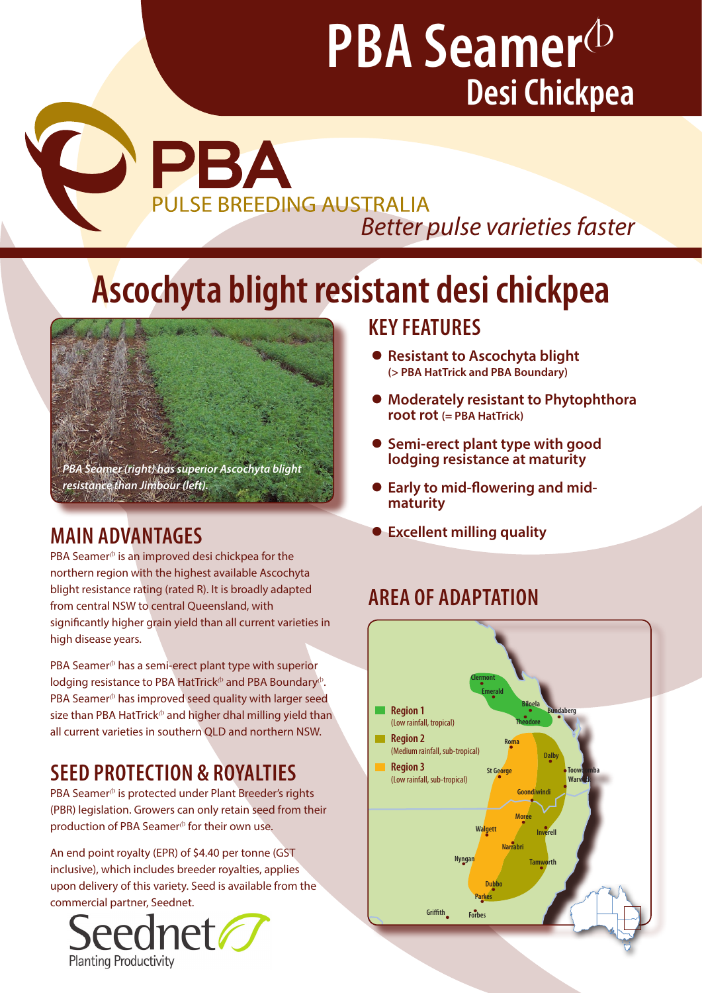# **PBA Seamer**<sup>(b)</sup> **Desi Chickpea**

**CORPLANSE BREEDIN PULSE BREEDING AUSTRALIA** *Better pulse varieties faster* 

## **Ascochyta blight resistant desi chickpea**



PBA Seamer $\Phi$  is an improved desi chickpea for the northern region with the highest available Ascochyta blight resistance rating (rated R). It is broadly adapted from central NSW to central Queensland, with significantly higher grain yield than all current varieties in high disease years.

PBA Seamer $\Phi$  has a semi-erect plant type with superior lodging resistance to PBA HatTrick<sup> $\Phi$ </sup> and PBA Boundary $\Phi$ . PBA Seamer<sup>®</sup> has improved seed quality with larger seed size than PBA HatTrick<sup> $\phi$ </sup> and higher dhal milling yield than all current varieties in southern QLD and northern NSW.

## **SEED PROTECTION & ROYALTIES**

PBA Seamer<sup>®</sup> is protected under Plant Breeder's rights (PBR) legislation. Growers can only retain seed from their production of PBA Seamer $\Phi$  for their own use.

An end point royalty (EPR) of \$4.40 per tonne (GST inclusive), which includes breeder royalties, applies **upon delivery of this variety. Seed is available from the set of the set of the set of the set of the set of the set of the set of the set of the set of the set of the set of the set of the set of the set of the set of th** commercial partner, Seednet.



### **KEY FEATURES**

- **Resistant to Ascochyta blight (> PBA HatTrick and PBA Boundary)**
- **Moderately resistant to Phytophthora root rot (= PBA HatTrick)**
- **Semi-erect plant type with good lodging resistance at maturity**
- **Early to mid-flowering and midmaturity**
- **MAIN ADVANTAGES 2020 CONTRAGES 2020 CONTRAGES 2020 CONTRAGES**

## **AREA OF ADAPTATION**

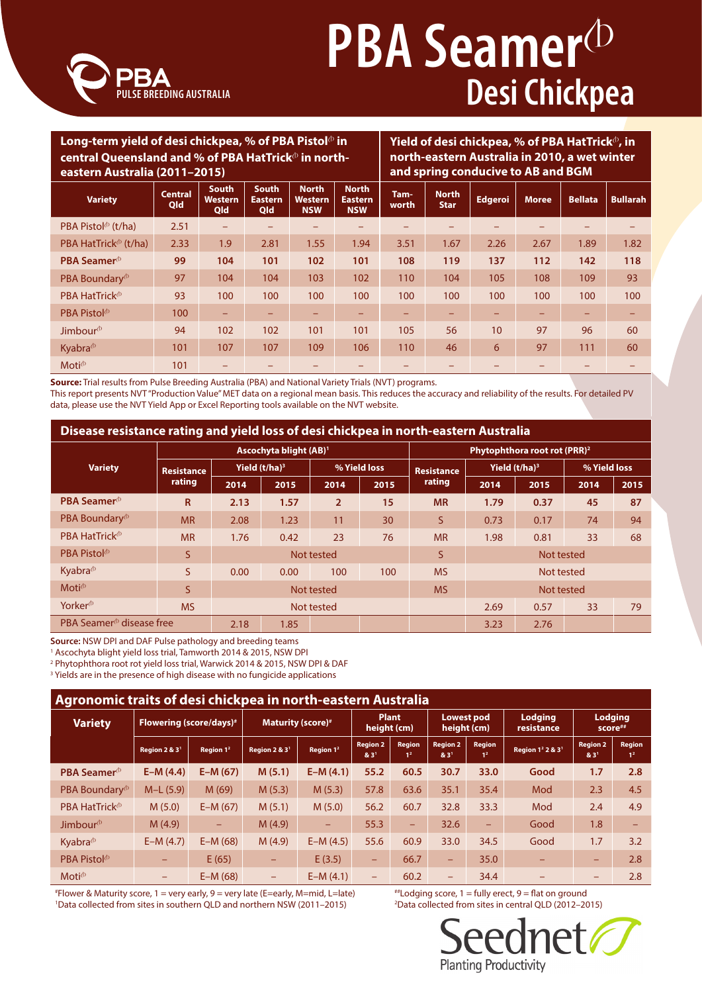

# **PBA Seamer**<sup>(D)</sup> **Desi Chickpea**

#### Long-term yield of desi chickpea, % of PBA Pistol<sup>®</sup> in central Queensland and % of PBA HatTrick<sup>®</sup> in north**eastern Australia (2011–2015) Yield of desi chickpea, % of PBA HatTrick**<sup>A</sup>**, in north-eastern Australia in 2010, a wet winter and spring conducive to AB and BGM Variety Central Qld South Western Qld South Eastern Qld North Western NSW North Eastern NSW Tamworth North Star Edgeroi Moree Bellata Bullarah** PBA Pistol<sup>A</sup> (t/ha) 2.51 – – – – – – – – – – PBA HatTrick<sup>®</sup> (t/ha) 2.33 1.9 2.81 1.55 1.94 3.51 1.67 2.26 2.67 1.89 1.82 **PBA Seamer**<sup>A</sup> **99 104 101 102 101 108 119 137 112 142 118** PBA Boundary<sup>®</sup> 97 | 104 104 103 | 102 | 110 | 104 | 105 | 108 | 109 | 93 PBA HatTrick $^{\circ}$  93 100 100 100 100 100 100 100 100 100 100 PBA Pistol $^{\circ}$  (  $\qquad \qquad$   $\qquad$  100  $\qquad$  –  $\qquad$  ) –  $\qquad$  –  $\qquad$  –  $\qquad$  –  $\qquad$  –  $\qquad$  –  $\qquad$  –  $\qquad$  –  $\qquad$  –  $\qquad$  –  $\qquad$  –  $\qquad$  –  $\qquad$ Jimbour<sup>®</sup> | 94 | 102 | 102 | 101 | 101 | 105 | 56 | 10 | 97 | 96 | 60 Kyabra<sup>A</sup> 101 107 107 109 106 110 46 6 97 111 60 Moti<sup>A</sup> 101 – – – – – – – – – –

**Source:** Trial results from Pulse Breeding Australia (PBA) and National Variety Trials (NVT) programs. This report presents NVT "Production Value" MET data on a regional mean basis. This reduces the accuracy and reliability of the results. For detailed PV data, please use the NVT Yield App or Excel Reporting tools available on the NVT website.

#### **Disease resistance rating and yield loss of desi chickpea in north-eastern Australia**

|                                      |                             | Ascochyta blight (AB) <sup>1</sup> |      |                |      | Phytophthora root rot (PRR) <sup>2</sup> |                           |            |              |      |
|--------------------------------------|-----------------------------|------------------------------------|------|----------------|------|------------------------------------------|---------------------------|------------|--------------|------|
| <b>Variety</b>                       | <b>Resistance</b><br>rating | Yield $(t/ha)^3$                   |      | % Yield loss   |      | <b>Resistance</b>                        | Yield (t/ha) <sup>3</sup> |            | % Yield loss |      |
|                                      |                             | 2014                               | 2015 | 2014           | 2015 | rating                                   | 2014                      | 2015       | 2014         | 2015 |
| PBA Seamer <sup>®</sup>              | $\mathsf{R}$                | 2.13                               | 1.57 | $\overline{2}$ | 15   | <b>MR</b>                                | 1.79                      | 0.37       | 45           | 87   |
| PBA Boundary <sup>®</sup>            | <b>MR</b>                   | 2.08                               | 1.23 | 11             | 30   | S                                        | 0.73                      | 0.17       | 74           | 94   |
| PBA HatTrick <sup>®</sup>            | <b>MR</b>                   | 1.76                               | 0.42 | 23             | 76   | <b>MR</b>                                | 1.98                      | 0.81       | 33           | 68   |
| PBA Pistol <sup>®</sup>              | S.                          | Not tested                         |      |                |      | S                                        | Not tested                |            |              |      |
| Kyabra <sup>®</sup>                  | S.                          | 0.00                               | 0.00 | 100            | 100  | <b>MS</b>                                |                           | Not tested |              |      |
| Moti <sup><i><sup>b</sup></i></sup>  | S.                          | Not tested                         |      |                |      | <b>MS</b>                                | Not tested                |            |              |      |
| Yorker <sup>®</sup>                  | <b>MS</b>                   | Not tested                         |      |                |      |                                          | 2.69                      | 0.57       | 33           | 79   |
| PBA Seamer <sup>®</sup> disease free |                             | 2.18                               | 1.85 |                |      |                                          | 3.23                      | 2.76       |              |      |

**Source:** NSW DPI and DAF Pulse pathology and breeding teams

<sup>1</sup> Ascochyta blight yield loss trial, Tamworth 2014 & 2015, NSW DPI

2 Phytophthora root rot yield loss trial, Warwick 2014 & 2015, NSW DPI & DAF

<sup>3</sup> Yields are in the presence of high disease with no fungicide applications

| Agronomic traits of desi chickpea in north-eastern Australia |                                     |                       |                           |                          |                                     |                                 |                                     |                                 |                                          |                                     |                                 |
|--------------------------------------------------------------|-------------------------------------|-----------------------|---------------------------|--------------------------|-------------------------------------|---------------------------------|-------------------------------------|---------------------------------|------------------------------------------|-------------------------------------|---------------------------------|
| <b>Variety</b>                                               | Flowering (score/days) <sup>#</sup> |                       | <b>Maturity (score)#</b>  |                          | <b>Plant</b><br>height (cm)         |                                 | <b>Lowest pod</b><br>height (cm)    |                                 | <b>Lodging</b><br>resistance             | <b>Lodging</b><br>score##           |                                 |
|                                                              | Region 2 & 3 <sup>1</sup>           | Region 1 <sup>2</sup> | Region 2 & 3 <sup>1</sup> | Region 1 <sup>2</sup>    | <b>Region 2</b><br>8:3 <sup>1</sup> | <b>Region</b><br>1 <sup>2</sup> | <b>Region 2</b><br>8:3 <sup>1</sup> | <b>Region</b><br>1 <sup>2</sup> | Region 1 <sup>2</sup> 2 & 3 <sup>1</sup> | <b>Region 2</b><br>8:3 <sup>1</sup> | <b>Region</b><br>1 <sup>2</sup> |
| <b>PBA Seamer</b> ®                                          | $E-M(4.4)$                          | $E-M (67)$            | M(5.1)                    | $E-M(4.1)$               | 55.2                                | 60.5                            | 30.7                                | 33.0                            | Good                                     | 1.7                                 | 2.8                             |
| PBA Boundary <sup>®</sup>                                    | $M-L (5.9)$                         | M(69)                 | M(5.3)                    | M(5.3)                   | 57.8                                | 63.6                            | 35.1                                | 35.4                            | Mod                                      | 2.3                                 | 4.5                             |
| PBA HatTrick <sup>®</sup>                                    | M(5.0)                              | $E-M(67)$             | M(5.1)                    | M(5.0)                   | 56.2                                | 60.7                            | 32.8                                | 33.3                            | Mod                                      | 2.4                                 | 4.9                             |
| Jimbour <sup>(b)</sup>                                       | M(4.9)                              | ÷                     | M(4.9)                    | $\overline{\phantom{a}}$ | 55.3                                | $\equiv$                        | 32.6                                | ÷                               | Good                                     | 1.8                                 |                                 |
| Kyabra $\Phi$                                                | $E-M(4.7)$                          | $E-M (68)$            | M(4.9)                    | $E-M(4.5)$               | 55.6                                | 60.9                            | 33.0                                | 34.5                            | Good                                     | 1.7                                 | 3.2                             |
| PBA Pistol <sup>®</sup>                                      | -                                   | E(65)                 | $\overline{\phantom{0}}$  | E(3.5)                   | -                                   | 66.7                            | ÷                                   | 35.0                            | -                                        | -                                   | 2.8                             |
| $Moti^{\Phi}$                                                | -                                   | $E-M (68)$            | -                         | $E-M(4.1)$               | -                                   | 60.2                            | -                                   | 34.4                            |                                          | -                                   | 2.8                             |

# Flower & Maturity score, 1 = very early, 9 = very late (E=early, M=mid, L=late) ##Lodging score, 1 = fully erect, 9 = flat on ground <sup>1</sup>Data collected from sites in southern QLD and northern NSW (2011–2015)<sup>2</sup>

<sup>2</sup>Data collected from sites in central QLD (2012-2015)

eednet **Planting Productivity**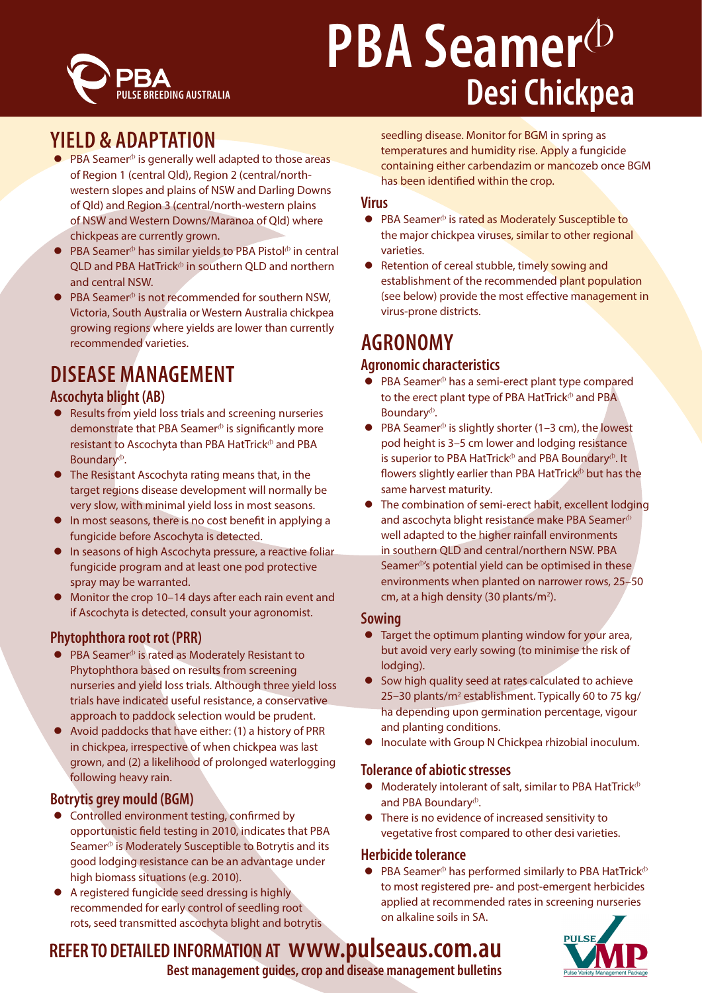

# **PBA Seamer**<sup>(D</sup> **Desi Chickpea**

### **YIELD & ADAPTATION**

- $\bullet$  PBA Seamer<sup> $\circ$ </sup> is generally well adapted to those areas of Region 1 (central Qld), Region 2 (central/northwestern slopes and plains of NSW and Darling Downs of Qld) and Region 3 (central/north-western plains of NSW and Western Downs/Maranoa of Qld) where chickpeas are currently grown.
- $\bullet$  PBA Seamer<sup>®</sup> has similar yields to PBA Pistol<sup>®</sup> in central OLD and PBA HatTrick $\Phi$  in southern OLD and northern and central NSW.
- $PBA$  Seamer<sup> $\Phi$ </sup> is not recommended for southern NSW. Victoria, South Australia or Western Australia chickpea growing regions where yields are lower than currently recommended varieties.

## **DISEASE MANAGEMENT**

### **Ascochyta blight (AB)**

- $\bullet$  Results from yield loss trials and screening nurseries demonstrate that PBA Seamer $\Phi$  is significantly more resistant to Ascochyta than PBA HatTrick $\Phi$  and PBA Boundary<sup>®</sup>.
- The Resistant Ascochyta rating means that, in the target regions disease development will normally be very slow, with minimal yield loss in most seasons.
- **•** In most seasons, there is no cost benefit in applying a fungicide before Ascochyta is detected.
- In seasons of high Ascochyta pressure, a reactive foliar fungicide program and at least one pod protective spray may be warranted.
- Monitor the crop 10–14 days after each rain event and if Ascochyta is detected, consult your agronomist.

#### **Phytophthora root rot (PRR)**

- $\bullet$  PBA Seamer<sup> $\circ$ </sup> is rated as Moderately Resistant to Phytophthora based on results from screening nurseries and yield loss trials. Although three yield loss trials have indicated useful resistance, a conservative approach to paddock selection would be prudent.
- Avoid paddocks that have either: (1) a history of PRR in chickpea, irrespective of when chickpea was last grown, and (2) a likelihood of prolonged waterlogging following heavy rain.

#### **Botrytis grey mould (BGM)**

- **•** Controlled environment testing, confirmed by opportunistic field testing in 2010, indicates that PBA Seamer $\Phi$  is Moderately Susceptible to Botrytis and its good lodging resistance can be an advantage under high biomass situations (e.g. 2010).
- A registered fungicide seed dressing is highly recommended for early control of seedling root rots, seed transmitted ascochyta blight and botrytis

seedling disease. Monitor for BGM in spring as temperatures and humidity rise. Apply a fungicide containing either carbendazim or mancozeb once BGM has been identified within the crop.

#### **Virus**

- PBA Seamer<sup>®</sup> is rated as Moderately Susceptible to the major chickpea viruses, similar to other regional varieties.
- Retention of cereal stubble, timely sowing and establishment of the recommended plant population (see below) provide the most effective management in virus-prone districts.

## **AGRONOMY**

#### **Agronomic characteristics**

- $\bullet$  PBA Seamer<sup> $\circ$ </sup> has a semi-erect plant type compared to the erect plant type of PBA HatTrick $\Phi$  and PBA Boundary<sup>®</sup>.
- $\bullet$  PBA Seamer<sup> $\circ$ </sup> is slightly shorter (1–3 cm), the lowest pod height is 3–5 cm lower and lodging resistance is superior to PBA HatTrick $\Phi$  and PBA Boundary $\Phi$ . It flowers slightly earlier than PBA HatTrick $\Phi$  but has the same harvest maturity.
- The combination of semi-erect habit, excellent lodging and ascochyta blight resistance make PBA Seamer $\Phi$ well adapted to the higher rainfall environments in southern QLD and central/northern NSW. PBA Seamer $\Phi$ 's potential yield can be optimised in these environments when planted on narrower rows, 25–50 cm, at a high density (30 plants/m<sup>2</sup>).

#### **Sowing**

- $\bullet$  Target the optimum planting window for your area, but avoid very early sowing (to minimise the risk of lodging).
- Sow high quality seed at rates calculated to achieve 25-30 plants/m<sup>2</sup> establishment. Typically 60 to 75 kg/ ha depending upon germination percentage, vigour and planting conditions.
- Inoculate with Group N Chickpea rhizobial inoculum.

#### **Tolerance of abiotic stresses**

- $\bullet$  Moderately intolerant of salt, similar to PBA HatTrick $\Phi$ and PBA Boundary<sup>®</sup>.
- There is no evidence of increased sensitivity to vegetative frost compared to other desi varieties.

#### **Herbicide tolerance**

PBA Seamer $\Phi$  has performed similarly to PBA HatTrick $\Phi$ to most registered pre- and post-emergent herbicides applied at recommended rates in screening nurseries on alkaline soils in SA.



## **REFER TO DETAILED INFORMATION AT www.pulseaus.com.au**

**Best management guides, crop and disease management bulletins**